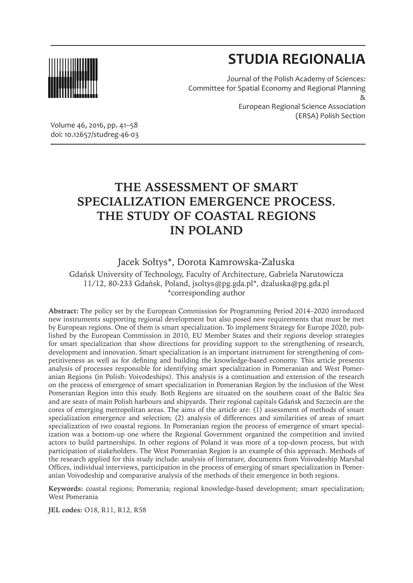

# **STUDIA REGIONALIA**

(ERSA) Polish Section

Journal of the Polish Academy of Sciences: Committee for Spatial Economy and Regional Planning & European Regional Science Association

Volume 46, 2016, pp. 41–58 doi: 10.12657/studreg-46-03

# **THE ASSESSMENT OF SMART SPECIALIZATION EMERGENCE PROCESS. THE STUDY OF COASTAL REGIONS IN POLAND**

### Jacek Sołtys\*, Dorota Kamrowska-Załuska

Gdańsk University of Technology, Faculty of Architecture, Gabriela Narutowicza 11/12, 80-233 Gdańsk, Poland, jsoltys@pg.gda.pl\*, dzaluska@pg.gda.pl \*corresponding author

**Abstract:** The policy set by the European Commission for Programming Period 2014–2020 introduced new instruments supporting regional development but also posed new requirements that must be met by European regions. One of them is smart specialization. To implement Strategy for Europe 2020, published by the European Commission in 2010, EU Member States and their regions develop strategies for smart specialization that show directions for providing support to the strengthening of research, development and innovation. Smart specialization is an important instrument for strengthening of competitiveness as well as for defining and building the knowledge-based economy. This article presents analysis of processes responsible for identifying smart specialization in Pomeranian and West Pomeranian Regions (in Polish: Voivodeships). This analysis is a continuation and extension of the research on the process of emergence of smart specialization in Pomeranian Region by the inclusion of the West Pomeranian Region into this study. Both Regions are situated on the southern coast of the Baltic Sea and are seats of main Polish harbours and shipyards. Their regional capitals Gdańsk and Szczecin are the cores of emerging metropolitan areas. The aims of the article are: (1) assessment of methods of smart specialization emergence and selection; (2) analysis of differences and similarities of areas of smart specialization of two coastal regions. In Pomeranian region the process of emergence of smart specialization was a bottom-up one where the Regional Government organized the competition and invited actors to build partnerships. In other regions of Poland it was more of a top-down process, but with participation of stakeholders. The West Pomeranian Region is an example of this approach. Methods of the research applied for this study include: analysis of literature, documents from Voivodeship Marshal Offices, individual interviews, participation in the process of emerging of smart specialization in Pomeranian Voivodeship and comparative analysis of the methods of their emergence in both regions.

**Keywords:** coastal regions; Pomerania; regional knowledge-based development; smart specialization; West Pomerania

**JEL codes:** O18, R11, R12, R58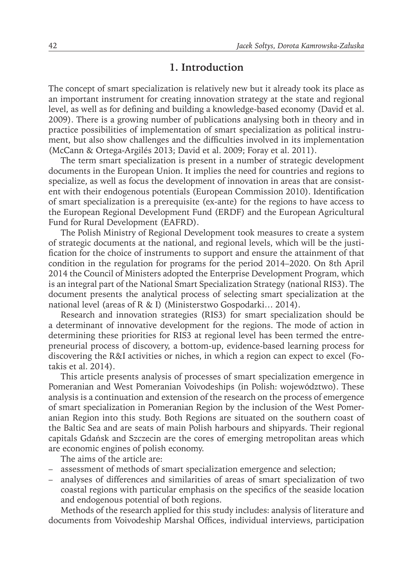### **1. Introduction**

The concept of smart specialization is relatively new but it already took its place as an important instrument for creating innovation strategy at the state and regional level, as well as for defining and building a knowledge-based economy (David et al. 2009). There is a growing number of publications analysing both in theory and in practice possibilities of implementation of smart specialization as political instrument, but also show challenges and the difficulties involved in its implementation (McCann & Ortega-Argilés 2013; David et al. 2009; Foray et al. 2011).

The term smart specialization is present in a number of strategic development documents in the European Union. It implies the need for countries and regions to specialize, as well as focus the development of innovation in areas that are consistent with their endogenous potentials (European Commission 2010). Identification of smart specialization is a prerequisite (ex-ante) for the regions to have access to the European Regional Development Fund (ERDF) and the European Agricultural Fund for Rural Development (EAFRD).

The Polish Ministry of Regional Development took measures to create a system of strategic documents at the national, and regional levels, which will be the justification for the choice of instruments to support and ensure the attainment of that condition in the regulation for programs for the period 2014–2020. On 8th April 2014 the Council of Ministers adopted the Enterprise Development Program, which is an integral part of the National Smart Specialization Strategy (national RIS3). The document presents the analytical process of selecting smart specialization at the national level (areas of R & I) (Ministerstwo Gospodarki… 2014).

Research and innovation strategies (RIS3) for smart specialization should be a determinant of innovative development for the regions. The mode of action in determining these priorities for RIS3 at regional level has been termed the entrepreneurial process of discovery, a bottom-up, evidence-based learning process for discovering the R&I activities or niches, in which a region can expect to excel (Fotakis et al. 2014).

This article presents analysis of processes of smart specialization emergence in Pomeranian and West Pomeranian Voivodeships (in Polish: województwo). These analysis is a continuation and extension of the research on the process of emergence of smart specialization in Pomeranian Region by the inclusion of the West Pomeranian Region into this study. Both Regions are situated on the southern coast of the Baltic Sea and are seats of main Polish harbours and shipyards. Their regional capitals Gdańsk and Szczecin are the cores of emerging metropolitan areas which are economic engines of polish economy.

The aims of the article are:

- assessment of methods of smart specialization emergence and selection;
- analyses of differences and similarities of areas of smart specialization of two coastal regions with particular emphasis on the specifics of the seaside location and endogenous potential of both regions.

Methods of the research applied for this study includes: analysis of literature and documents from Voivodeship Marshal Offices, individual interviews, participation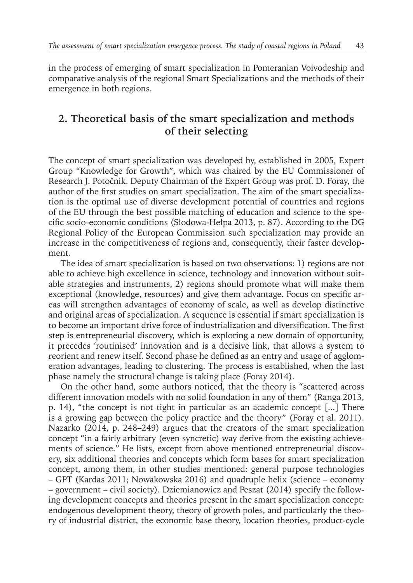in the process of emerging of smart specialization in Pomeranian Voivodeship and comparative analysis of the regional Smart Specializations and the methods of their emergence in both regions.

## **2. Theoretical basis of the smart specialization and methods of their selecting**

The concept of smart specialization was developed by, established in 2005, Expert Group "Knowledge for Growth", which was chaired by the EU Commissioner of Research J. Potočnik. Deputy Chairman of the Expert Group was prof. D. Foray, the author of the first studies on smart specialization. The aim of the smart specialization is the optimal use of diverse development potential of countries and regions of the EU through the best possible matching of education and science to the specific socio-economic conditions (Słodowa-Hełpa 2013, p. 87). According to the DG Regional Policy of the European Commission such specialization may provide an increase in the competitiveness of regions and, consequently, their faster development.

The idea of smart specialization is based on two observations: 1) regions are not able to achieve high excellence in science, technology and innovation without suitable strategies and instruments, 2) regions should promote what will make them exceptional (knowledge, resources) and give them advantage. Focus on specific areas will strengthen advantages of economy of scale, as well as develop distinctive and original areas of specialization. A sequence is essential if smart specialization is to become an important drive force of industrialization and diversification. The first step is entrepreneurial discovery, which is exploring a new domain of opportunity, it precedes 'routinised' innovation and is a decisive link, that allows a system to reorient and renew itself. Second phase he defined as an entry and usage of agglomeration advantages, leading to clustering. The process is established, when the last phase namely the structural change is taking place (Foray 2014).

On the other hand, some authors noticed, that the theory is "scattered across different innovation models with no solid foundation in any of them" (Ranga 2013, p. 14), "the concept is not tight in particular as an academic concept [...] There is a growing gap between the policy practice and the theory" (Foray et al. 2011). Nazarko (2014, p. 248–249) argues that the creators of the smart specialization concept "in a fairly arbitrary (even syncretic) way derive from the existing achievements of science." He lists, except from above mentioned entrepreneurial discovery, six additional theories and concepts which form bases for smart specialization concept, among them, in other studies mentioned: general purpose technologies – GPT (Kardas 2011; Nowakowska 2016) and quadruple helix (science – economy – government – civil society). Dziemianowicz and Peszat (2014) specify the following development concepts and theories present in the smart specialization concept: endogenous development theory, theory of growth poles, and particularly the theory of industrial district, the economic base theory, location theories, product-cycle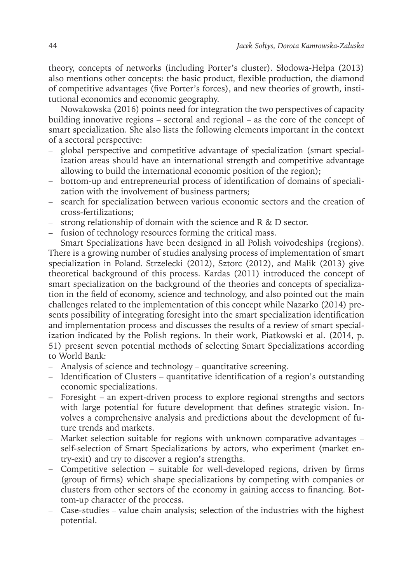theory, concepts of networks (including Porter's cluster). Słodowa-Hełpa (2013) also mentions other concepts: the basic product, flexible production, the diamond of competitive advantages (five Porter's forces), and new theories of growth, institutional economics and economic geography.

Nowakowska (2016) points need for integration the two perspectives of capacity building innovative regions – sectoral and regional – as the core of the concept of smart specialization. She also lists the following elements important in the context of a sectoral perspective:

- global perspective and competitive advantage of specialization (smart specialization areas should have an international strength and competitive advantage allowing to build the international economic position of the region);
- bottom-up and entrepreneurial process of identification of domains of specialization with the involvement of business partners;
- search for specialization between various economic sectors and the creation of cross-fertilizations;
- strong relationship of domain with the science and R & D sector.
- fusion of technology resources forming the critical mass.

Smart Specializations have been designed in all Polish voivodeships (regions). There is a growing number of studies analysing process of implementation of smart specialization in Poland. Strzelecki (2012), Sztorc (2012), and Malik (2013) give theoretical background of this process. Kardas (2011) introduced the concept of smart specialization on the background of the theories and concepts of specialization in the field of economy, science and technology, and also pointed out the main challenges related to the implementation of this concept while Nazarko (2014) presents possibility of integrating foresight into the smart specialization identification and implementation process and discusses the results of a review of smart specialization indicated by the Polish regions. In their work, Piatkowski et al. (2014, p. 51) present seven potential methods of selecting Smart Specializations according to World Bank:

- Analysis of science and technology quantitative screening.
- Identification of Clusters quantitative identification of a region's outstanding economic specializations.
- Foresight an expert-driven process to explore regional strengths and sectors with large potential for future development that defines strategic vision. Involves a comprehensive analysis and predictions about the development of future trends and markets.
- Market selection suitable for regions with unknown comparative advantages self-selection of Smart Specializations by actors, who experiment (market entry-exit) and try to discover a region's strengths.
- Competitive selection suitable for well-developed regions, driven by firms (group of firms) which shape specializations by competing with companies or clusters from other sectors of the economy in gaining access to financing. Bottom-up character of the process.
- Case-studies value chain analysis; selection of the industries with the highest potential.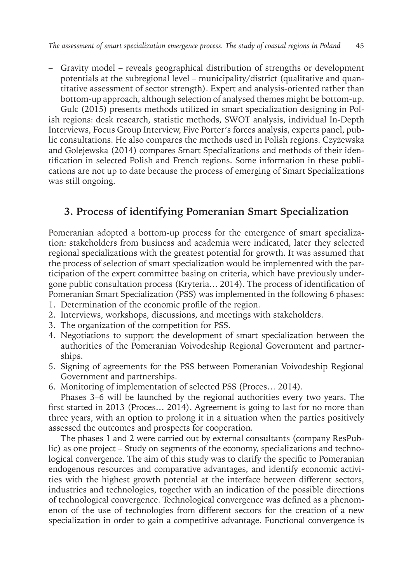– Gravity model – reveals geographical distribution of strengths or development potentials at the subregional level – municipality/district (qualitative and quantitative assessment of sector strength). Expert and analysis-oriented rather than bottom-up approach, although selection of analysed themes might be bottom-up.

Gulc (2015) presents methods utilized in smart specialization designing in Polish regions: desk research, statistic methods, SWOT analysis, individual In-Depth Interviews, Focus Group Interview, Five Porter's forces analysis, experts panel, public consultations. He also compares the methods used in Polish regions. Czyżewska and Golejewska (2014) compares Smart Specializations and methods of their identification in selected Polish and French regions. Some information in these publications are not up to date because the process of emerging of Smart Specializations was still ongoing.

# **3. Process of identifying Pomeranian Smart Specialization**

Pomeranian adopted a bottom-up process for the emergence of smart specialization: stakeholders from business and academia were indicated, later they selected regional specializations with the greatest potential for growth. It was assumed that the process of selection of smart specialization would be implemented with the participation of the expert committee basing on criteria, which have previously undergone public consultation process (Kryteria… 2014). The process of identification of Pomeranian Smart Specialization (PSS) was implemented in the following 6 phases:

- 1. Determination of the economic profile of the region.
- 2. Interviews, workshops, discussions, and meetings with stakeholders.
- 3. The organization of the competition for PSS.
- 4. Negotiations to support the development of smart specialization between the authorities of the Pomeranian Voivodeship Regional Government and partnerships.
- 5. Signing of agreements for the PSS between Pomeranian Voivodeship Regional Government and partnerships.
- 6. Monitoring of implementation of selected PSS (Proces… 2014).

Phases 3–6 will be launched by the regional authorities every two years. The first started in 2013 (Proces… 2014). Agreement is going to last for no more than three years, with an option to prolong it in a situation when the parties positively assessed the outcomes and prospects for cooperation.

The phases 1 and 2 were carried out by external consultants (company ResPublic) as one project – Study on segments of the economy, specializations and technological convergence. The aim of this study was to clarify the specific to Pomeranian endogenous resources and comparative advantages, and identify economic activities with the highest growth potential at the interface between different sectors, industries and technologies, together with an indication of the possible directions of technological convergence. Technological convergence was defined as a phenomenon of the use of technologies from different sectors for the creation of a new specialization in order to gain a competitive advantage. Functional convergence is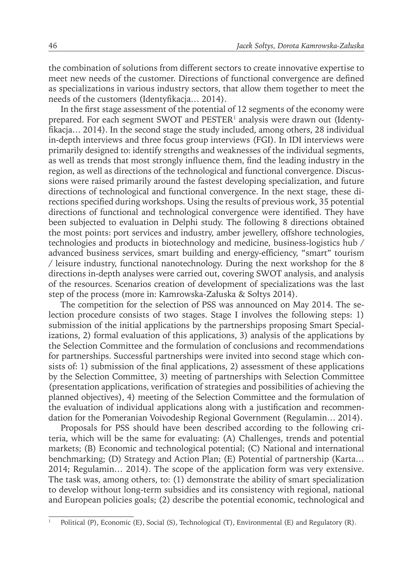the combination of solutions from different sectors to create innovative expertise to meet new needs of the customer. Directions of functional convergence are defined as specializations in various industry sectors, that allow them together to meet the needs of the customers (Identyfikacja… 2014).

In the first stage assessment of the potential of 12 segments of the economy were prepared. For each segment SWOT and PESTER<sup>1</sup> analysis were drawn out (Identyfikacja… 2014). In the second stage the study included, among others, 28 individual in-depth interviews and three focus group interviews (FGI). In IDI interviews were primarily designed to: identify strengths and weaknesses of the individual segments, as well as trends that most strongly influence them, find the leading industry in the region, as well as directions of the technological and functional convergence. Discussions were raised primarily around the fastest developing specialization, and future directions of technological and functional convergence. In the next stage, these directions specified during workshops. Using the results of previous work, 35 potential directions of functional and technological convergence were identified. They have been subjected to evaluation in Delphi study. The following 8 directions obtained the most points: port services and industry, amber jewellery, offshore technologies, technologies and products in biotechnology and medicine, business-logistics hub / advanced business services, smart building and energy-efficiency, "smart" tourism / leisure industry, functional nanotechnology. During the next workshop for the 8 directions in-depth analyses were carried out, covering SWOT analysis, and analysis of the resources. Scenarios creation of development of specializations was the last step of the process (more in: Kamrowska-Załuska & Sołtys 2014).

The competition for the selection of PSS was announced on May 2014. The selection procedure consists of two stages. Stage I involves the following steps: 1) submission of the initial applications by the partnerships proposing Smart Specializations, 2) formal evaluation of this applications, 3) analysis of the applications by the Selection Committee and the formulation of conclusions and recommendations for partnerships. Successful partnerships were invited into second stage which consists of: 1) submission of the final applications, 2) assessment of these applications by the Selection Committee, 3) meeting of partnerships with Selection Committee (presentation applications, verification of strategies and possibilities of achieving the planned objectives), 4) meeting of the Selection Committee and the formulation of the evaluation of individual applications along with a justification and recommendation for the Pomeranian Voivodeship Regional Government (Regulamin… 2014).

Proposals for PSS should have been described according to the following criteria, which will be the same for evaluating: (A) Challenges, trends and potential markets; (B) Economic and technological potential; (C) National and international benchmarking; (D) Strategy and Action Plan; (E) Potential of partnership (Karta… 2014; Regulamin… 2014). The scope of the application form was very extensive. The task was, among others, to: (1) demonstrate the ability of smart specialization to develop without long-term subsidies and its consistency with regional, national and European policies goals; (2) describe the potential economic, technological and

<sup>1</sup> Political (P), Economic (E), Social (S), Technological (T), Environmental (E) and Regulatory (R).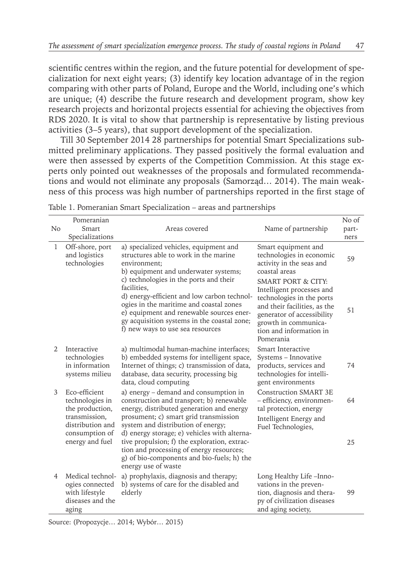scientific centres within the region, and the future potential for development of specialization for next eight years; (3) identify key location advantage of in the region comparing with other parts of Poland, Europe and the World, including one's which are unique; (4) describe the future research and development program, show key research projects and horizontal projects essential for achieving the objectives from RDS 2020. It is vital to show that partnership is representative by listing previous activities (3–5 years), that support development of the specialization.

Till 30 September 2014 28 partnerships for potential Smart Specializations submitted preliminary applications. They passed positively the formal evaluation and were then assessed by experts of the Competition Commission. At this stage experts only pointed out weaknesses of the proposals and formulated recommendations and would not eliminate any proposals (Samorząd… 2014). The main weakness of this process was high number of partnerships reported in the first stage of

| N <sub>o</sub> | Pomeranian<br>Smart<br>Specializations                                             | Areas covered<br>Name of partnership                                                                                                                                                                                                                                                         |                                                                                                                                                                                                                       | No of<br>part-<br>ners |
|----------------|------------------------------------------------------------------------------------|----------------------------------------------------------------------------------------------------------------------------------------------------------------------------------------------------------------------------------------------------------------------------------------------|-----------------------------------------------------------------------------------------------------------------------------------------------------------------------------------------------------------------------|------------------------|
| 1              | Off-shore, port<br>and logistics<br>technologies                                   | a) specialized vehicles, equipment and<br>structures able to work in the marine<br>environment:<br>b) equipment and underwater systems;                                                                                                                                                      | Smart equipment and<br>technologies in economic<br>activity in the seas and<br>coastal areas                                                                                                                          | 59                     |
|                |                                                                                    | c) technologies in the ports and their<br>facilities.<br>d) energy-efficient and low carbon technol-<br>ogies in the maritime and coastal zones<br>e) equipment and renewable sources ener-<br>gy acquisition systems in the coastal zone;<br>f) new ways to use sea resources               | <b>SMART PORT &amp; CITY:</b><br>Intelligent processes and<br>technologies in the ports<br>and their facilities, as the<br>generator of accessibility<br>growth in communica-<br>tion and information in<br>Pomerania | 51                     |
| $\mathfrak{D}$ | Interactive<br>technologies<br>in information<br>systems milieu                    | a) multimodal human-machine interfaces;<br>b) embedded systems for intelligent space,<br>Internet of things; c) transmission of data,<br>database, data security, processing big<br>data, cloud computing                                                                                    | Smart Interactive<br>Systems - Innovative<br>products, services and<br>technologies for intelli-<br>gent environments                                                                                                 | 74                     |
| 3              | Eco-efficient<br>technologies in<br>the production,                                | a) energy - demand and consumption in<br>construction and transport; b) renewable<br>energy, distributed generation and energy                                                                                                                                                               | <b>Construction SMART 3E</b><br>- efficiency, environmen-<br>tal protection, energy                                                                                                                                   | 64                     |
|                | transmission,<br>distribution and<br>consumption of<br>energy and fuel             | prosument; c) smart grid transmission<br>system and distribution of energy;<br>d) energy storage; e) vehicles with alterna-<br>tive propulsion; f) the exploration, extrac-<br>tion and processing of energy resources;<br>g) of bio-components and bio-fuels; h) the<br>energy use of waste | Intelligent Energy and<br>Fuel Technologies,                                                                                                                                                                          | 25                     |
| 4              | Medical technol-<br>ogies connected<br>with lifestyle<br>diseases and the<br>aging | a) prophylaxis, diagnosis and therapy;<br>b) systems of care for the disabled and<br>elderly                                                                                                                                                                                                 | Long Healthy Life -Inno-<br>vations in the preven-<br>tion, diagnosis and thera-<br>py of civilization diseases<br>and aging society,                                                                                 | 99                     |

|  | Table 1. Pomeranian Smart Specialization - areas and partnerships |  |  |
|--|-------------------------------------------------------------------|--|--|
|--|-------------------------------------------------------------------|--|--|

Source: (Propozycje… 2014; Wybór… 2015)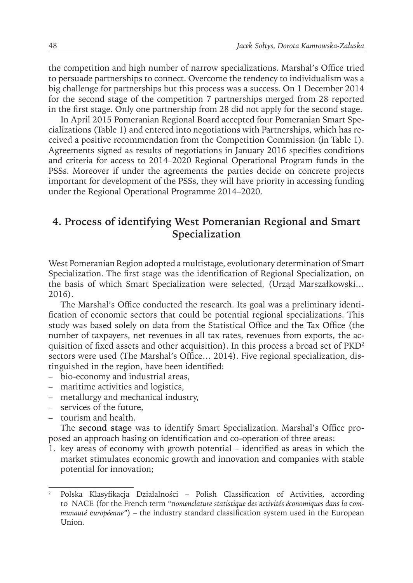the competition and high number of narrow specializations. Marshal's Office tried to persuade partnerships to connect. Overcome the tendency to individualism was a big challenge for partnerships but this process was a success. On 1 December 2014 for the second stage of the competition 7 partnerships merged from 28 reported in the first stage. Only one partnership from 28 did not apply for the second stage.

In April 2015 Pomeranian Regional Board accepted four Pomeranian Smart Specializations (Table 1) and entered into negotiations with Partnerships, which has received a positive recommendation from the Competition Commission (in Table 1). Agreements signed as results of negotiations in January 2016 specifies conditions and criteria for access to 2014–2020 Regional Operational Program funds in the PSSs. Moreover if under the agreements the parties decide on concrete projects important for development of the PSSs, they will have priority in accessing funding under the Regional Operational Programme 2014–2020.

## **4. Process of identifying West Pomeranian Regional and Smart Specialization**

West Pomeranian Region adopted a multistage, evolutionary determination of Smart Specialization. The first stage was the identification of Regional Specialization, on the basis of which Smart Specialization were selected, (Urząd Marszałkowski… 2016).

The Marshal's Office conducted the research. Its goal was a preliminary identification of economic sectors that could be potential regional specializations. This study was based solely on data from the Statistical Office and the Tax Office (the number of taxpayers, net revenues in all tax rates, revenues from exports, the acquisition of fixed assets and other acquisition). In this process a broad set of PKD<sup>2</sup> sectors were used (The Marshal's Office… 2014). Five regional specialization, distinguished in the region, have been identified:

- bio-economy and industrial areas,
- maritime activities and logistics,
- metallurgy and mechanical industry,
- services of the future,
- tourism and health.

The **second stage** was to identify Smart Specialization. Marshal's Office proposed an approach basing on identification and co-operation of three areas:

1. key areas of economy with growth potential – identified as areas in which the market stimulates economic growth and innovation and companies with stable potential for innovation;

<sup>2</sup> Polska Klasyfikacja Działalności – Polish Classification of Activities, according to NACE (for the French term *"*n*omenclature statistique des* a*ctivités économiques dans la* c*ommunauté* e*uropéenne"*) – the industry standard classification system used in the European Union.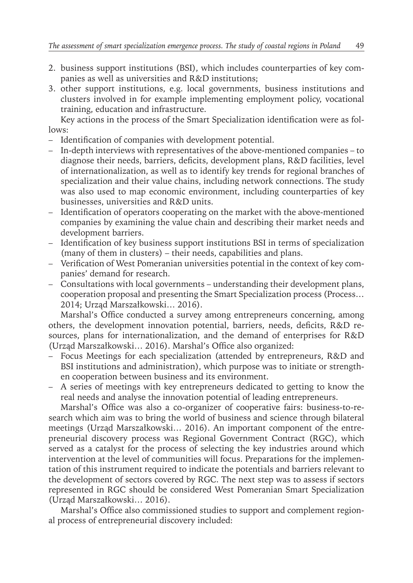- 2. business support institutions (BSI), which includes counterparties of key companies as well as universities and R&D institutions;
- 3. other support institutions, e.g. local governments, business institutions and clusters involved in for example implementing employment policy, vocational training, education and infrastructure.

Key actions in the process of the Smart Specialization identification were as follows:

- Identification of companies with development potential.
- In-depth interviews with representatives of the above-mentioned companies to diagnose their needs, barriers, deficits, development plans, R&D facilities, level of internationalization, as well as to identify key trends for regional branches of specialization and their value chains, including network connections. The study was also used to map economic environment, including counterparties of key businesses, universities and R&D units.
- Identification of operators cooperating on the market with the above-mentioned companies by examining the value chain and describing their market needs and development barriers.
- Identification of key business support institutions BSI in terms of specialization (many of them in clusters) – their needs, capabilities and plans.
- Verification of West Pomeranian universities potential in the context of key companies' demand for research.
- Consultations with local governments understanding their development plans, cooperation proposal and presenting the Smart Specialization process (Process… 2014; Urząd Marszałkowski… 2016).

Marshal's Office conducted a survey among entrepreneurs concerning, among others, the development innovation potential, barriers, needs, deficits, R&D resources, plans for internationalization, and the demand of enterprises for R&D (Urząd Marszałkowski… 2016). Marshal's Office also organized:

- Focus Meetings for each specialization (attended by entrepreneurs, R&D and BSI institutions and administration), which purpose was to initiate or strengthen cooperation between business and its environment.
- A series of meetings with key entrepreneurs dedicated to getting to know the real needs and analyse the innovation potential of leading entrepreneurs.

Marshal's Office was also a co-organizer of cooperative fairs: business-to-research which aim was to bring the world of business and science through bilateral meetings (Urząd Marszałkowski… 2016). An important component of the entrepreneurial discovery process was Regional Government Contract (RGC), which served as a catalyst for the process of selecting the key industries around which intervention at the level of communities will focus. Preparations for the implementation of this instrument required to indicate the potentials and barriers relevant to the development of sectors covered by RGC. The next step was to assess if sectors represented in RGC should be considered West Pomeranian Smart Specialization (Urząd Marszałkowski… 2016).

Marshal's Office also commissioned studies to support and complement regional process of entrepreneurial discovery included: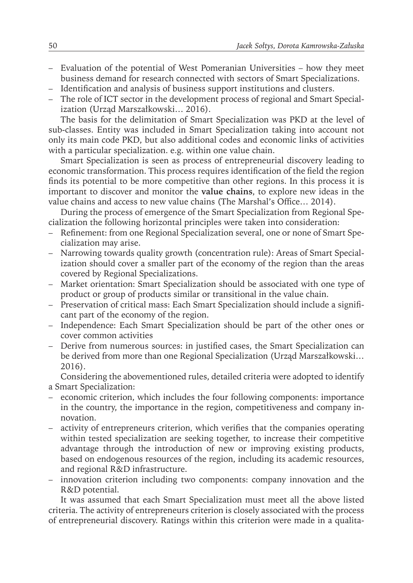- Evaluation of the potential of West Pomeranian Universities how they meet business demand for research connected with sectors of Smart Specializations.
- Identification and analysis of business support institutions and clusters.
- The role of ICT sector in the development process of regional and Smart Specialization (Urząd Marszałkowski… 2016).

The basis for the delimitation of Smart Specialization was PKD at the level of sub-classes. Entity was included in Smart Specialization taking into account not only its main code PKD, but also additional codes and economic links of activities with a particular specialization. e.g. within one value chain.

Smart Specialization is seen as process of entrepreneurial discovery leading to economic transformation. This process requires identification of the field the region finds its potential to be more competitive than other regions. In this process it is important to discover and monitor the **value chains**, to explore new ideas in the value chains and access to new value chains (The Marshal's Office… 2014).

During the process of emergence of the Smart Specialization from Regional Specialization the following horizontal principles were taken into consideration:

- Refinement: from one Regional Specialization several, one or none of Smart Specialization may arise.
- Narrowing towards quality growth (concentration rule): Areas of Smart Specialization should cover a smaller part of the economy of the region than the areas covered by Regional Specializations.
- Market orientation: Smart Specialization should be associated with one type of product or group of products similar or transitional in the value chain.
- Preservation of critical mass: Each Smart Specialization should include a significant part of the economy of the region.
- Independence: Each Smart Specialization should be part of the other ones or cover common activities
- Derive from numerous sources: in justified cases, the Smart Specialization can be derived from more than one Regional Specialization (Urząd Marszałkowski… 2016).

Considering the abovementioned rules, detailed criteria were adopted to identify a Smart Specialization:

- economic criterion, which includes the four following components: importance in the country, the importance in the region, competitiveness and company innovation.
- activity of entrepreneurs criterion, which verifies that the companies operating within tested specialization are seeking together, to increase their competitive advantage through the introduction of new or improving existing products, based on endogenous resources of the region, including its academic resources, and regional R&D infrastructure.
- innovation criterion including two components: company innovation and the R&D potential.

It was assumed that each Smart Specialization must meet all the above listed criteria. The activity of entrepreneurs criterion is closely associated with the process of entrepreneurial discovery. Ratings within this criterion were made in a qualita-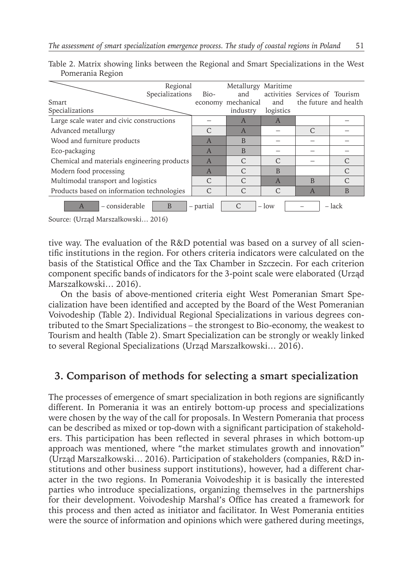| Smart<br>Specializations                                                       | Regional<br>Specializations | Bio-<br>economy | Metallurgy<br>and<br>mechanical<br>industry | Maritime<br>and<br>logistics | activities Services of Tourism | the future and health |
|--------------------------------------------------------------------------------|-----------------------------|-----------------|---------------------------------------------|------------------------------|--------------------------------|-----------------------|
| Large scale water and civic constructions                                      |                             |                 | A                                           | A                            |                                |                       |
| Advanced metallurgy                                                            |                             | $\mathcal{C}$   | $\overline{A}$                              |                              | $\mathcal{C}$                  |                       |
| Wood and furniture products                                                    |                             | $\overline{A}$  | B                                           |                              |                                |                       |
| Eco-packaging                                                                  |                             | $\overline{A}$  | B                                           |                              |                                |                       |
| Chemical and materials engineering products                                    |                             | $\overline{A}$  | $\mathcal{C}$                               | $\mathcal{C}$                |                                | $\mathcal{C}$         |
| Modern food processing                                                         |                             | A               | $\mathcal{C}$                               | $\overline{B}$               |                                | $\mathcal{C}$         |
| Multimodal transport and logistics                                             |                             | $\mathcal{C}$   | $\mathcal{C}$                               | $\overline{A}$               | <sub>B</sub>                   | $\subset$             |
| Products based on information technologies                                     |                             | $\subset$       | C                                           | C                            | $\overline{A}$                 | B                     |
| - considerable<br>C<br>$-$ lack<br>B<br>$-$ low<br>- partial<br>$\overline{A}$ |                             |                 |                                             |                              |                                |                       |

Table 2. Matrix showing links between the Regional and Smart Specializations in the West Pomerania Region

Source: (Urząd Marszałkowski… 2016)

tive way. The evaluation of the R&D potential was based on a survey of all scientific institutions in the region. For others criteria indicators were calculated on the basis of the Statistical Office and the Tax Chamber in Szczecin. For each criterion component specific bands of indicators for the 3-point scale were elaborated (Urząd Marszałkowski… 2016).

On the basis of above-mentioned criteria eight West Pomeranian Smart Specialization have been identified and accepted by the Board of the West Pomeranian Voivodeship (Table 2). Individual Regional Specializations in various degrees contributed to the Smart Specializations – the strongest to Bio-economy, the weakest to Tourism and health (Table 2). Smart Specialization can be strongly or weakly linked to several Regional Specializations (Urząd Marszałkowski… 2016).

# **3. Comparison of methods for selecting a smart specialization**

The processes of emergence of smart specialization in both regions are significantly different. In Pomerania it was an entirely bottom-up process and specializations were chosen by the way of the call for proposals. In Western Pomerania that process can be described as mixed or top-down with a significant participation of stakeholders. This participation has been reflected in several phrases in which bottom-up approach was mentioned, where "the market stimulates growth and innovation" (Urząd Marszałkowski… 2016). Participation of stakeholders (companies, R&D institutions and other business support institutions), however, had a different character in the two regions. In Pomerania Voivodeship it is basically the interested parties who introduce specializations, organizing themselves in the partnerships for their development. Voivodeship Marshal's Office has created a framework for this process and then acted as initiator and facilitator. In West Pomerania entities were the source of information and opinions which were gathered during meetings,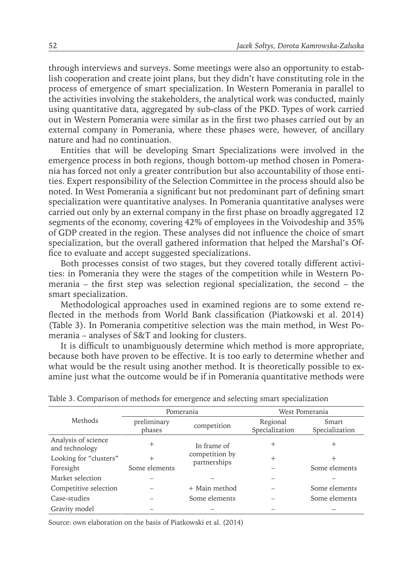through interviews and surveys. Some meetings were also an opportunity to establish cooperation and create joint plans, but they didn't have constituting role in the process of emergence of smart specialization. In Western Pomerania in parallel to the activities involving the stakeholders, the analytical work was conducted, mainly using quantitative data, aggregated by sub-class of the PKD. Types of work carried out in Western Pomerania were similar as in the first two phases carried out by an external company in Pomerania, where these phases were, however, of ancillary nature and had no continuation.

Entities that will be developing Smart Specializations were involved in the emergence process in both regions, though bottom-up method chosen in Pomerania has forced not only a greater contribution but also accountability of those entities. Expert responsibility of the Selection Committee in the process should also be noted. In West Pomerania a significant but not predominant part of defining smart specialization were quantitative analyses. In Pomerania quantitative analyses were carried out only by an external company in the first phase on broadly aggregated 12 segments of the economy, covering 42% of employees in the Voivodeship and 35% of GDP created in the region. These analyses did not influence the choice of smart specialization, but the overall gathered information that helped the Marshal's Office to evaluate and accept suggested specializations.

Both processes consist of two stages, but they covered totally different activities: in Pomerania they were the stages of the competition while in Western Pomerania – the first step was selection regional specialization, the second – the smart specialization.

Methodological approaches used in examined regions are to some extend reflected in the methods from World Bank classification (Piatkowski et al. 2014) (Table 3). In Pomerania competitive selection was the main method, in West Pomerania – analyses of S&T and looking for clusters.

It is difficult to unambiguously determine which method is more appropriate, because both have proven to be effective. It is too early to determine whether and what would be the result using another method. It is theoretically possible to examine just what the outcome would be if in Pomerania quantitative methods were

|                                       | Pomerania             |                                               | West Pomerania             |                         |
|---------------------------------------|-----------------------|-----------------------------------------------|----------------------------|-------------------------|
| Methods                               | preliminary<br>phases | competition                                   | Regional<br>Specialization | Smart<br>Specialization |
| Analysis of science<br>and technology | $^{+}$                | In frame of<br>competition by<br>partnerships | $^+$                       | $^+$                    |
| Looking for "clusters"                | $^{+}$                |                                               | $\overline{+}$             | $^+$                    |
| Foresight                             | Some elements         |                                               |                            | Some elements           |
| Market selection                      |                       |                                               |                            |                         |
| Competitive selection                 |                       | + Main method                                 |                            | Some elements           |
| Case-studies                          |                       | Some elements                                 |                            | Some elements           |
| Gravity model                         |                       |                                               |                            |                         |

Table 3. Comparison of methods for emergence and selecting smart specialization

Source: own elaboration on the basis of Piatkowski et al. (2014)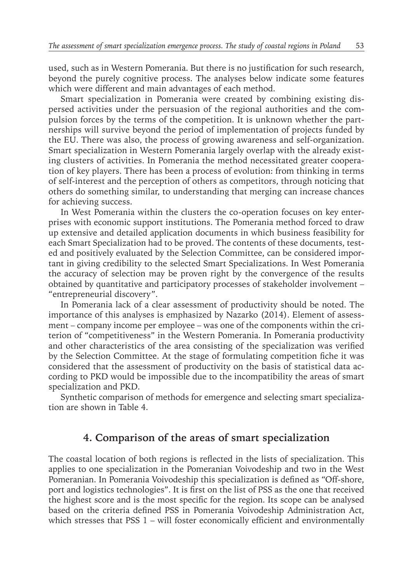used, such as in Western Pomerania. But there is no justification for such research, beyond the purely cognitive process. The analyses below indicate some features which were different and main advantages of each method.

Smart specialization in Pomerania were created by combining existing dispersed activities under the persuasion of the regional authorities and the compulsion forces by the terms of the competition. It is unknown whether the partnerships will survive beyond the period of implementation of projects funded by the EU. There was also, the process of growing awareness and self-organization. Smart specialization in Western Pomerania largely overlap with the already existing clusters of activities. In Pomerania the method necessitated greater cooperation of key players. There has been a process of evolution: from thinking in terms of self-interest and the perception of others as competitors, through noticing that others do something similar, to understanding that merging can increase chances for achieving success.

In West Pomerania within the clusters the co-operation focuses on key enterprises with economic support institutions. The Pomerania method forced to draw up extensive and detailed application documents in which business feasibility for each Smart Specialization had to be proved. The contents of these documents, tested and positively evaluated by the Selection Committee, can be considered important in giving credibility to the selected Smart Specializations. In West Pomerania the accuracy of selection may be proven right by the convergence of the results obtained by quantitative and participatory processes of stakeholder involvement – "entrepreneurial discovery".

In Pomerania lack of a clear assessment of productivity should be noted. The importance of this analyses is emphasized by Nazarko (2014). Element of assessment – company income per employee – was one of the components within the criterion of "competitiveness" in the Western Pomerania. In Pomerania productivity and other characteristics of the area consisting of the specialization was verified by the Selection Committee. At the stage of formulating competition fiche it was considered that the assessment of productivity on the basis of statistical data according to PKD would be impossible due to the incompatibility the areas of smart specialization and PKD.

Synthetic comparison of methods for emergence and selecting smart specialization are shown in Table 4.

### **4. Comparison of the areas of smart specialization**

The coastal location of both regions is reflected in the lists of specialization. This applies to one specialization in the Pomeranian Voivodeship and two in the West Pomeranian. In Pomerania Voivodeship this specialization is defined as "Off-shore, port and logistics technologies". It is first on the list of PSS as the one that received the highest score and is the most specific for the region. Its scope can be analysed based on the criteria defined PSS in Pomerania Voivodeship Administration Act, which stresses that PSS  $1 -$  will foster economically efficient and environmentally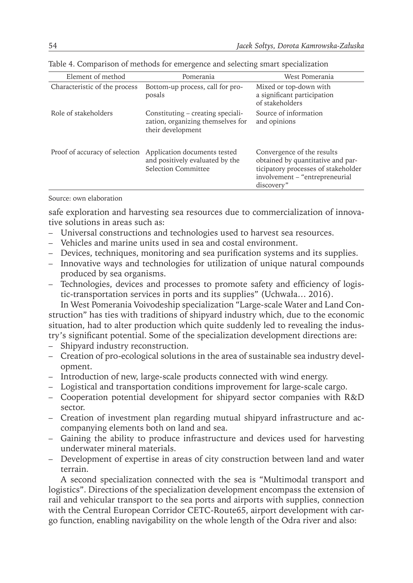| Element of method              | Pomerania                                                                                   | West Pomerania                                                                                                                                         |  |
|--------------------------------|---------------------------------------------------------------------------------------------|--------------------------------------------------------------------------------------------------------------------------------------------------------|--|
| Characteristic of the process  | Bottom-up process, call for pro-<br>posals                                                  | Mixed or top-down with<br>a significant participation<br>of stakeholders                                                                               |  |
| Role of stakeholders           | Constituting – creating speciali-<br>zation, organizing themselves for<br>their development | Source of information<br>and opinions                                                                                                                  |  |
| Proof of accuracy of selection | Application documents tested<br>and positively evaluated by the<br>Selection Committee      | Convergence of the results<br>obtained by quantitative and par-<br>ticipatory processes of stakeholder<br>involvement - "entrepreneurial<br>discovery" |  |

Table 4. Comparison of methods for emergence and selecting smart specialization

#### Source: own elaboration

safe exploration and harvesting sea resources due to commercialization of innovative solutions in areas such as:

- Universal constructions and technologies used to harvest sea resources.
- Vehicles and marine units used in sea and costal environment.
- Devices, techniques, monitoring and sea purification systems and its supplies.
- Innovative ways and technologies for utilization of unique natural compounds produced by sea organisms.
- Technologies, devices and processes to promote safety and efficiency of logistic-transportation services in ports and its supplies" (Uchwała… 2016).

In West Pomerania Voivodeship specialization "Large-scale Water and Land Construction" has ties with traditions of shipyard industry which, due to the economic situation, had to alter production which quite suddenly led to revealing the industry's significant potential. Some of the specialization development directions are:

- Shipyard industry reconstruction.
- Creation of pro-ecological solutions in the area of sustainable sea industry development.
- Introduction of new, large-scale products connected with wind energy.
- Logistical and transportation conditions improvement for large-scale cargo.
- Cooperation potential development for shipyard sector companies with R&D sector.
- Creation of investment plan regarding mutual shipyard infrastructure and accompanying elements both on land and sea.
- Gaining the ability to produce infrastructure and devices used for harvesting underwater mineral materials.
- Development of expertise in areas of city construction between land and water terrain.

A second specialization connected with the sea is "Multimodal transport and logistics". Directions of the specialization development encompass the extension of rail and vehicular transport to the sea ports and airports with supplies, connection with the Central European Corridor CETC-Route65, airport development with cargo function, enabling navigability on the whole length of the Odra river and also: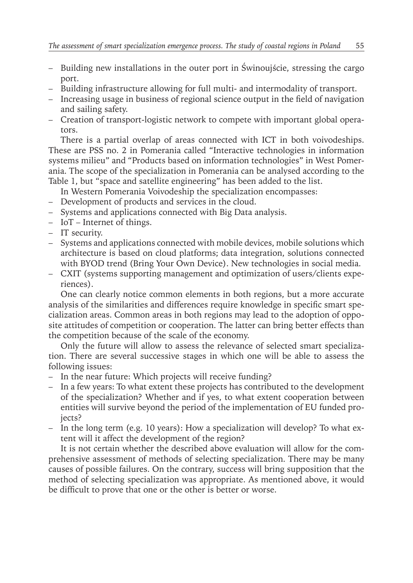- Building new installations in the outer port in Świnoujście, stressing the cargo port.
- Building infrastructure allowing for full multi- and intermodality of transport.
- Increasing usage in business of regional science output in the field of navigation and sailing safety.
- Creation of transport-logistic network to compete with important global operators.

There is a partial overlap of areas connected with ICT in both voivodeships. These are PSS no. 2 in Pomerania called "Interactive technologies in information systems milieu" and "Products based on information technologies" in West Pomerania. The scope of the specialization in Pomerania can be analysed according to the Table 1, but "space and satellite engineering" has been added to the list.

In Western Pomerania Voivodeship the specialization encompasses:

- Development of products and services in the cloud.
- Systems and applications connected with Big Data analysis.
- IoT Internet of things.
- IT security.
- Systems and applications connected with mobile devices, mobile solutions which architecture is based on cloud platforms; data integration, solutions connected with BYOD trend (Bring Your Own Device). New technologies in social media.
- CXIT (systems supporting management and optimization of users/clients experiences).

One can clearly notice common elements in both regions, but a more accurate analysis of the similarities and differences require knowledge in specific smart specialization areas. Common areas in both regions may lead to the adoption of opposite attitudes of competition or cooperation. The latter can bring better effects than the competition because of the scale of the economy.

Only the future will allow to assess the relevance of selected smart specialization. There are several successive stages in which one will be able to assess the following issues:

- In the near future: Which projects will receive funding?
- In a few years: To what extent these projects has contributed to the development of the specialization? Whether and if yes, to what extent cooperation between entities will survive beyond the period of the implementation of EU funded projects?
- In the long term (e.g. 10 years): How a specialization will develop? To what extent will it affect the development of the region?

It is not certain whether the described above evaluation will allow for the comprehensive assessment of methods of selecting specialization. There may be many causes of possible failures. On the contrary, success will bring supposition that the method of selecting specialization was appropriate. As mentioned above, it would be difficult to prove that one or the other is better or worse.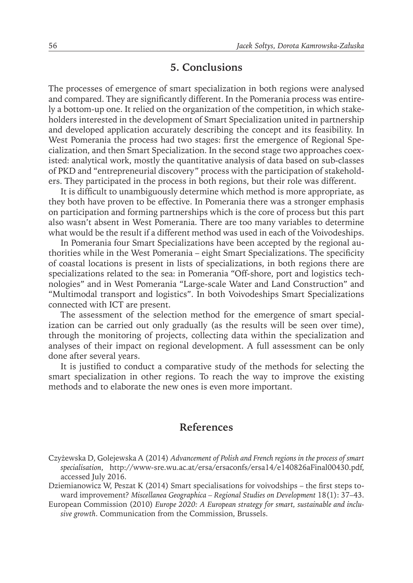### **5. Conclusions**

The processes of emergence of smart specialization in both regions were analysed and compared. They are significantly different. In the Pomerania process was entirely a bottom-up one. It relied on the organization of the competition, in which stakeholders interested in the development of Smart Specialization united in partnership and developed application accurately describing the concept and its feasibility. In West Pomerania the process had two stages: first the emergence of Regional Specialization, and then Smart Specialization. In the second stage two approaches coexisted: analytical work, mostly the quantitative analysis of data based on sub-classes of PKD and "entrepreneurial discovery" process with the participation of stakeholders. They participated in the process in both regions, but their role was different.

It is difficult to unambiguously determine which method is more appropriate, as they both have proven to be effective. In Pomerania there was a stronger emphasis on participation and forming partnerships which is the core of process but this part also wasn't absent in West Pomerania. There are too many variables to determine what would be the result if a different method was used in each of the Voivodeships.

In Pomerania four Smart Specializations have been accepted by the regional authorities while in the West Pomerania – eight Smart Specializations. The specificity of coastal locations is present in lists of specializations, in both regions there are specializations related to the sea: in Pomerania "Off-shore, port and logistics technologies" and in West Pomerania "Large-scale Water and Land Construction" and "Multimodal transport and logistics". In both Voivodeships Smart Specializations connected with ICT are present.

The assessment of the selection method for the emergence of smart specialization can be carried out only gradually (as the results will be seen over time), through the monitoring of projects, collecting data within the specialization and analyses of their impact on regional development. A full assessment can be only done after several years.

It is justified to conduct a comparative study of the methods for selecting the smart specialization in other regions. To reach the way to improve the existing methods and to elaborate the new ones is even more important.

### **References**

Dziemianowicz W, Peszat K (2014) Smart specialisations for voivodships – the first steps toward improvement? *Miscellanea Geographica – Regional Studies on Development* 18(1): 37–43.

European Commission (2010) *Europe 2020: A European strategy for smart, sustainable and inclusive growth*. Communication from the Commission, Brussels.

Czyżewska D, Golejewska A (2014) *Advancement of Polish and French regions in the process of smart specialisation*, http://www-sre.wu.ac.at/ersa/ersaconfs/ersa14/e140826aFinal00430.pdf, accessed July 2016.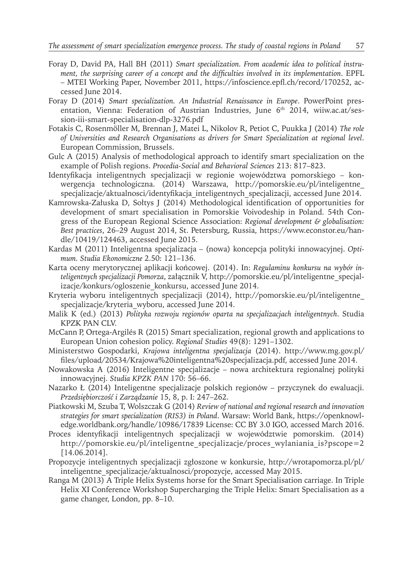- Foray D, David PA, Hall BH (2011) *Smart specialization. From academic idea to political instrument, the surprising career of a concept and the difficulties involved in its implementation*. EPFL – MTEI Working Paper, November 2011, https://infoscience.epfl.ch/record/170252, accessed June 2014.
- Foray D (2014) *Smart specialization. An Industrial Renaissance in Europe*. PowerPoint presentation, Vienna: Federation of Austrian Industries, June  $6<sup>th</sup>$  2014, wiiw.ac.at/session-iii-smart-specialisation-dlp-3276.pdf
- Fotakis C, Rosenmöller M, Brennan J, Matei L, Nikolov R, Petiot C, Puukka J (2014) *The role of Universities and Research Organisations as drivers for Smart Specialization at regional level*. European Commission, Brussels.
- Gulc A (2015) Analysis of methodological approach to identify smart specialization on the example of Polish regions. *Procedia-Social and Behavioral Sciences* 213: 817–823.
- Identyfikacja inteligentnych specjalizacji w regionie województwa pomorskiego konwergencja technologiczna. (2014) Warszawa, http://pomorskie.eu/pl/inteligentne\_ specjalizacje/aktualnosci/identyfikacja\_inteligentnych\_specjalizacji, accessed June 2014.
- Kamrowska-Załuska D, Sołtys J (2014) Methodological identification of opportunities for development of smart specialisation in Pomorskie Voivodeship in Poland. 54th Congress of the European Regional Science Association: *Regional development & globalisation: Best practices*, 26–29 August 2014, St. Petersburg, Russia, https://www.econstor.eu/handle/10419/124463, accessed June 2015.
- Kardas M (2011) Inteligentna specjalizacja (nowa) koncepcja polityki innowacyjnej. *Optimum. Studia Ekonomiczne* 2.50: 121–136.
- Karta oceny merytorycznej aplikacji końcowej. (2014). In: *Regulaminu konkursu na wybór inteligentnych specjalizacji Pomorza*, załącznik V, http://pomorskie.eu/pl/inteligentne\_specjalizacje/konkurs/ogloszenie\_konkursu, accessed June 2014.
- Kryteria wyboru inteligentnych specjalizacji (2014), http://pomorskie.eu/pl/inteligentne\_ specializacje/kryteria\_wyboru, accessed June 2014.
- Malik K (ed.) (2013) *Polityka rozwoju regionów oparta na specjalizacjach inteligentnych*. Studia KPZK PAN CLV.
- McCann P, Ortega-Argilés R (2015) Smart specialization, regional growth and applications to European Union cohesion policy. *Regional Studies* 49(8): 1291–1302.
- Ministerstwo Gospodarki, *Krajowa inteligentna specjalizacja* (2014). http://www.mg.gov.pl/ files/upload/20534/Krajowa%20inteligentna%20specjalizacja.pdf, accessed June 2014.
- Nowakowska A (2016) Inteligentne specjalizacje nowa architektura regionalnej polityki innowacyjnej. *Studia KPZK PAN* 170: 56–66.
- Nazarko Ł (2014) Inteligentne specjalizacje polskich regionów przyczynek do ewaluacji. *Przedsiębiorczość i Zarządzanie* 15, 8, p. I: 247–262.
- Piatkowski M, Szuba T, Wolszczak G (2014) *Review of national and regional research and innovation strategies for smart specialization (RIS3) in Poland*. Warsaw: World Bank, https://openknowledge.worldbank.org/handle/10986/17839 License: CC BY 3.0 IGO, accessed March 2016.
- Proces identyfikacji inteligentnych specjalizacji w województwie pomorskim. (2014) http://pomorskie.eu/pl/inteligentne\_specjalizacje/proces\_wylaniania\_is?pscope=2 [14.06.2014].
- Propozycje inteligentnych specjalizacji zgłoszone w konkursie, http://wrotapomorza.pl/pl/ inteligentne\_specjalizacje/aktualnosci/propozycje, accessed May 2015.
- Ranga M (2013) A Triple Helix Systems horse for the Smart Specialisation carriage. In Triple Helix XI Conference Workshop Supercharging the Triple Helix: Smart Specialisation as a game changer, London, pp. 8–10.